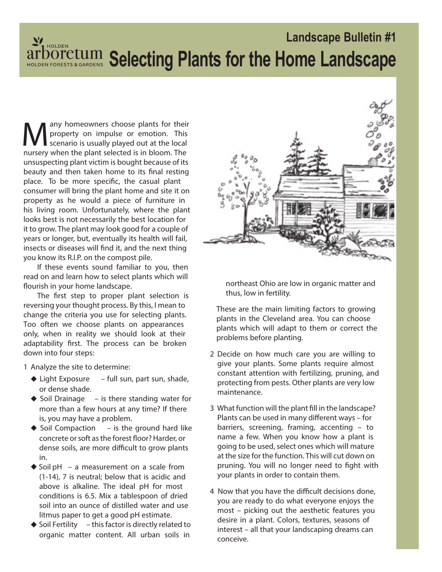# **Landscape Bulletin #1 Selecting Plants for the Home Landscape**

M any homeowners choose plants for their property on impulse or emotion. This scenario is usually played out at the local nursery when the plant selected is in bloom. The any homeowners choose plants for their property on impulse or emotion. This scenario is usually played out at the local unsuspecting plant victim is bought because of its beauty and then taken home to its final resting place. To be more specific, the casual plant consumer will bring the plant home and site it on property as he would a piece of furniture in his living room. Unfortunately, where the plant looks best is not necessarily the best location for it to grow. The plant may look good for a couple of years or longer, but, eventually its health will fail, insects or diseases will find it, and the next thing you know its R.I.P. on the compost pile.

If these events sound familiar to you, then read on and learn how to select plants which will flourish in your home landscape.

The first step to proper plant selection is reversing your thought process. By this, I mean to change the criteria you use for selecting plants. Too often we choose plants on appearances only, when in reality we should look at their adaptability first. The process can be broken down into four steps:

1 Analyze the site to determine:

- **Light Exposure** full sun, part sun, shade, or dense shade.
- ◆ Soil Drainage is there standing water for more than a few hours at any time? If there is, you may have a problem.
- ◆ Soil Compaction is the ground hard like concrete or soft as the forest floor? Harder, or dense soils, are more difficult to grow plants in.
- ◆ Soil pH a measurement on a scale from (1-14), 7 is neutral; below that is acidic and above is alkaline. The ideal pH for most conditions is 6.5. Mix a tablespoon of dried soil into an ounce of distilled water and use litmus paper to get a good pH estimate.
- ◆ Soil Fertility this factor is directly related to organic matter content. All urban soils in



northeast Ohio are low in organic matter and thus, low in fertility.

These are the main limiting factors to growing plants in the Cleveland area. You can choose plants which will adapt to them or correct the problems before planting.

- 2 Decide on how much care you are willing to give your plants. Some plants require almost constant attention with fertilizing, pruning, and protecting from pests. Other plants are very low maintenance.
- 3 What function will the plant fill in the landscape? Plants can be used in many different ways – for barriers, screening, framing, accenting – to name a few. When you know how a plant is going to be used, select ones which will mature at the size for the function. This will cut down on pruning. You will no longer need to fight with your plants in order to contain them.
- 4 Now that you have the difficult decisions done, you are ready to do what everyone enjoys the most – picking out the aesthetic features you desire in a plant. Colors, textures, seasons of interest – all that your landscaping dreams can conceive.